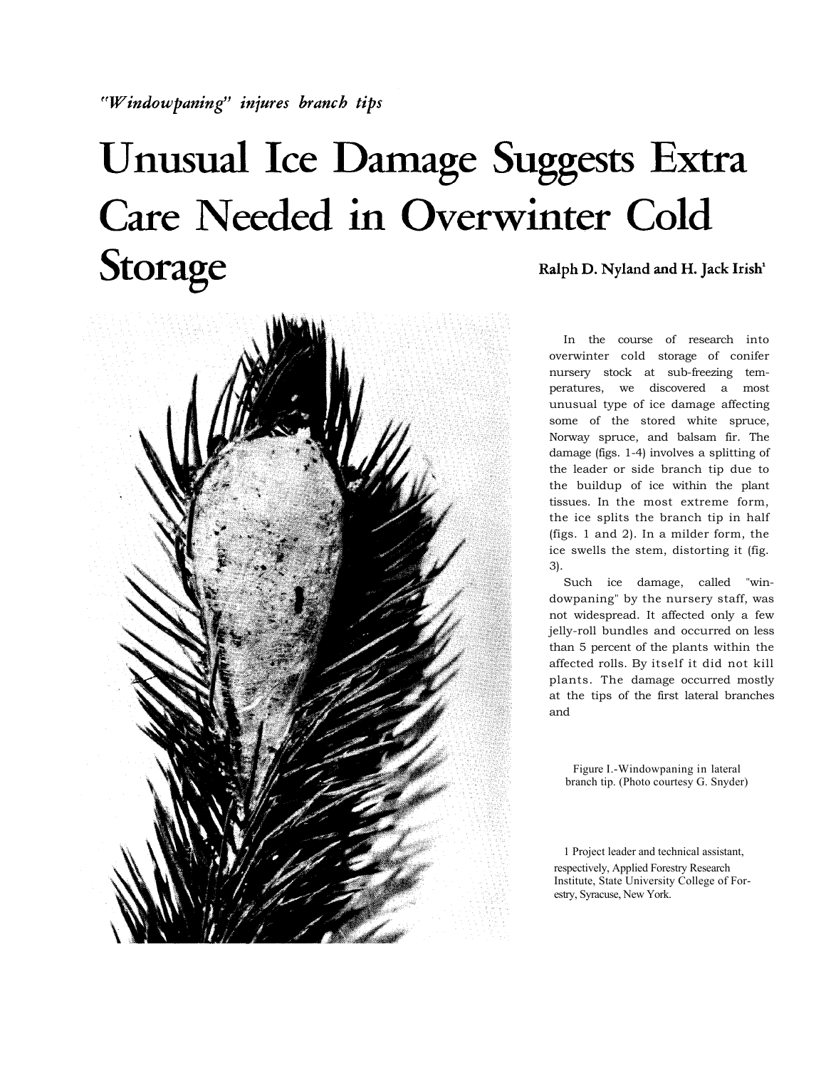## Unusual Ice Damage Suggests Extra Care Needed in Overwinter Cold Storage Ralph D. Nyland and H. Jack Irish<sup>1</sup>



In the course of research into overwinter cold storage of conifer nursery stock at sub-freezing temperatures, we discovered a most unusual type of ice damage affecting some of the stored white spruce, Norway spruce, and balsam fir. The damage (figs. 1-4) involves a splitting of the leader or side branch tip due to the buildup of ice within the plant tissues. In the most extreme form, the ice splits the branch tip in half (figs. 1 and 2). In a milder form, the ice swells the stem, distorting it (fig. 3).

Such ice damage, called "windowpaning" by the nursery staff, was not widespread. It affected only a few jelly-roll bundles and occurred on less than 5 percent of the plants within the affected rolls. By itself it did not kill plants. The damage occurred mostly at the tips of the first lateral branches and

Figure I.-Windowpaning in lateral branch tip. (Photo courtesy G. Snyder)

1 Project leader and technical assistant, respectively, Applied Forestry Research Institute, State University College of Forestry, Syracuse, New York.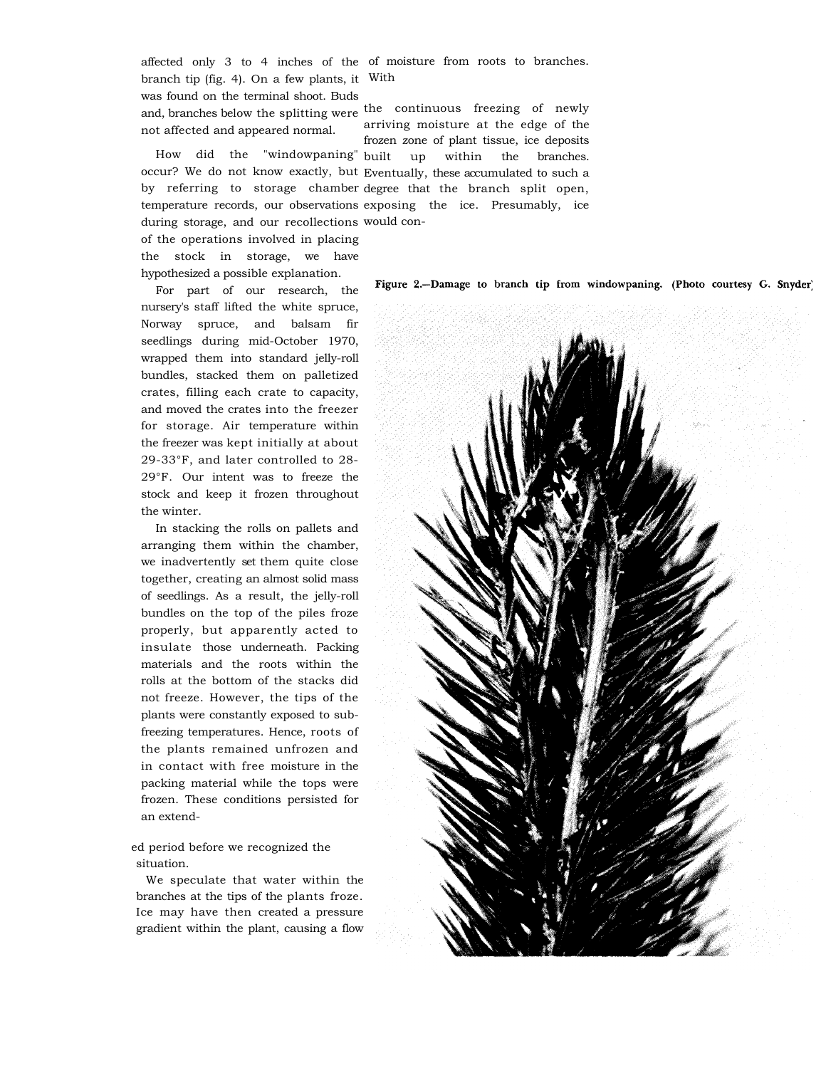affected only 3 to 4 inches of the of moisture from roots to branches. branch tip (fig. 4). On a few plants, it With was found on the terminal shoot. Buds

and, branches below the splitting were the continuous freezing of newly not affected and appeared normal.

How did the "windowpaning" occur? We do not know exactly, but Eventually, these accumulated to such a by referring to storage chamber degree that the branch split open, temperature records, our observations exposing the ice. Presumably, ice during storage, and our recollections would con-

of the operations involved in placing the stock in storage, we have hypothesized a possible explanation.

For part of our research, the nursery's staff lifted the white spruce, Norway spruce, and balsam fir seedlings during mid-October 1970, wrapped them into standard jelly-roll bundles, stacked them on palletized crates, filling each crate to capacity, and moved the crates into the freezer for storage. Air temperature within the freezer was kept initially at about 29-33°F, and later controlled to 28- 29°F. Our intent was to freeze the stock and keep it frozen throughout the winter.

In stacking the rolls on pallets and arranging them within the chamber, we inadvertently set them quite close together, creating an almost solid mass of seedlings. As a result, the jelly-roll bundles on the top of the piles froze properly, but apparently acted to insulate those underneath. Packing materials and the roots within the rolls at the bottom of the stacks did not freeze. However, the tips of the plants were constantly exposed to subfreezing temperatures. Hence, roots of the plants remained unfrozen and in contact with free moisture in the packing material while the tops were frozen. These conditions persisted for an extend-

ed period before we recognized the situation.

We speculate that water within the branches at the tips of the plants froze. Ice may have then created a pressure gradient within the plant, causing a flow

arriving moisture at the edge of the frozen zone of plant tissue, ice deposits up within the branches.

Figure 2.-Damage to branch tip from windowpaning. (Photo courtesy G. Snyder)